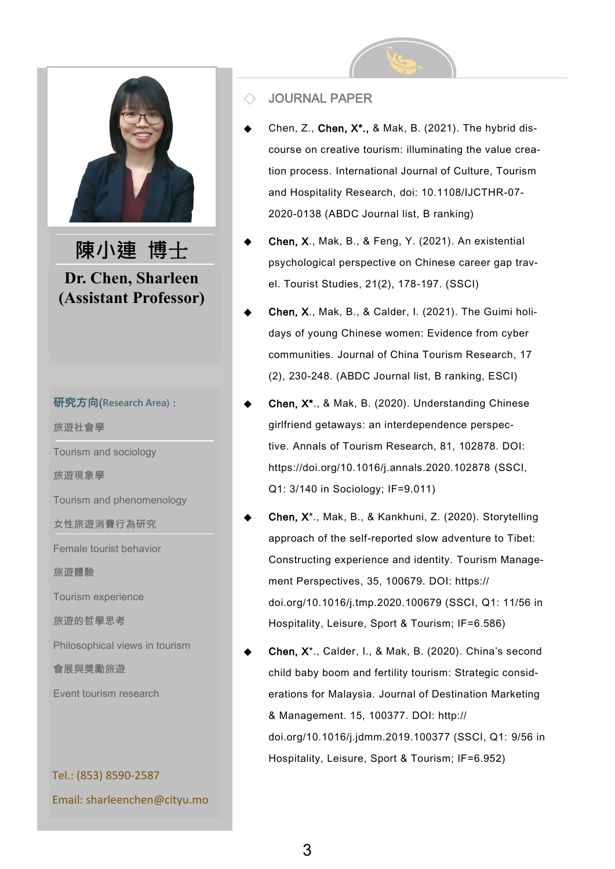

#### 研究方向(**Research Area)**:

旅遊社會學

Tourism and sociology

旅遊現象學

Tourism and phenomenology

女性旅遊消費行為研究

Female tourist behavior

旅遊體驗

Tourism experience

旅遊的哲學思考

Philosophical views in tourism

會展與獎勵旅遊

Event tourism research

Tel.: (853) 8590-2587 Email: sharleenchen@cityu.mo

### **JOURNAL PAPER**

- Chen, Z., Chen,  $X^*$ ., & Mak, B. (2021). The hybrid discourse on creative tourism: illuminating the value creation process. International Journal of Culture, Tourism and Hospitality Research, doi: 10.1108/IJCTHR-07- 2020-0138 (ABDC Journal list, B ranking)
- Chen, X., Mak, B., & Feng, Y. (2021). An existential psychological perspective on Chinese career gap travel. Tourist Studies, 21(2), 178-197. (SSCI)
- Chen, X., Mak, B., & Calder, I. (2021). The Guimi holidays of young Chinese women: Evidence from cyber communities. Journal of China Tourism Research, 17 (2), 230-248. (ABDC Journal list, B ranking, ESCI)
- Chen, X\*., & Mak, B. (2020). Understanding Chinese girlfriend getaways: an interdependence perspective. Annals of Tourism Research, 81, 102878. DOI: https://doi.org/10.1016/j.annals.2020.102878 (SSCI, Q1: 3/140 in Sociology; IF=9.011)
- Chen, X<sup>\*</sup>., Mak, B., & Kankhuni, Z. (2020). Storytelling approach of the self-reported slow adventure to Tibet: Constructing experience and identity. Tourism Management Perspectives, 35, 100679. DOI: https:// doi.org/10.1016/j.tmp.2020.100679 (SSCI, Q1: 11/56 in Hospitality, Leisure, Sport & Tourism; IF=6.586)
- Chen,  $X^*$ ., Calder, I., & Mak, B. (2020). China's second child baby boom and fertility tourism: Strategic considerations for Malaysia. Journal of Destination Marketing & Management. 15, 100377. DOI: http:// doi.org/10.1016/j.jdmm.2019.100377 (SSCI, Q1: 9/56 in Hospitality, Leisure, Sport & Tourism; IF=6.952)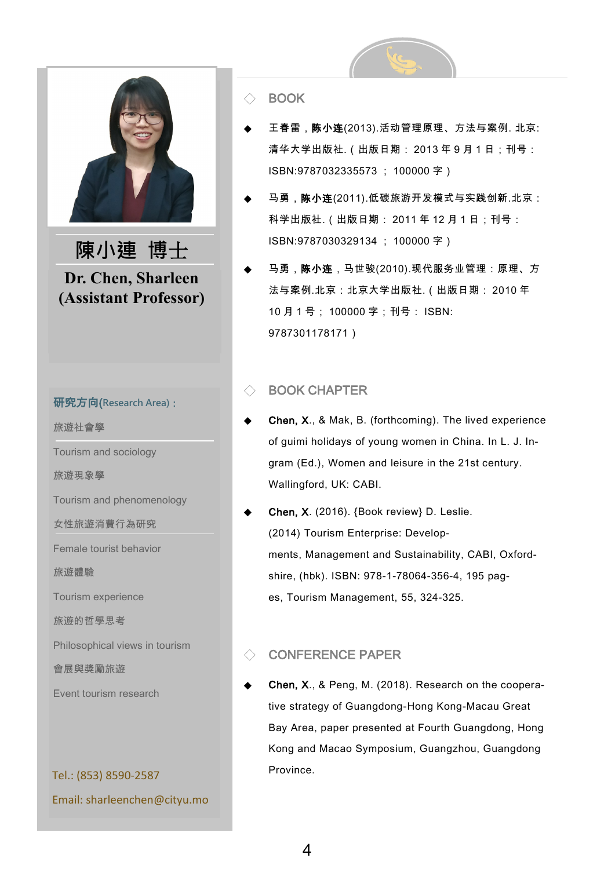

#### 研究方向(**Research Area)**:

旅遊社會學

Tourism and sociology

旅遊現象學

Tourism and phenomenology

女性旅遊消費行為研究

Female tourist behavior

旅遊體驗

Tourism experience

旅遊的哲學思考

Philosophical views in tourism

會展與獎勵旅遊

Event tourism research

# Tel.: (853) 8590-2587 Email: sharleenchen@cityu.mo

## **BOOK**

- 王春雷,陈小连(2013).活动管理原理、方法与案例. 北京: 清华大学出版社.(出版日期: 2013 年 9 月 1 日;刊号: ISBN:9787032335573 ; 100000 字)
- 马勇,陈小连(2011).低碳旅游开发模式与实践创新.北京: 科学出版社.(出版日期: 2011 年 12 月 1 日;刊号: ISBN:9787030329134 ; 100000 字)
- 马勇,**陈小连**,马世骏(2010).现代服务业管理:原理、方 法与案例.北京:北京大学出版社.(出版日期: 2010 年 10 月 1 号; 100000 字;刊号: ISBN: 9787301178171)

## **BOOK CHAPTER**

- Chen, X., & Mak, B. (forthcoming). The lived experience of guimi holidays of young women in China. In L. J. Ingram (Ed.), Women and leisure in the 21st century. Wallingford, UK: CABI.
- Chen, X. (2016). {Book review} D. Leslie. (2014) Tourism Enterprise: Developments, Management and Sustainability, CABI, Oxfordshire, (hbk). ISBN: 978-1-78064-356-4, 195 pages, Tourism Management, 55, 324-325.

### ◇ CONFERENCE PAPER

Chen, X., & Peng, M. (2018). Research on the cooperative strategy of Guangdong-Hong Kong-Macau Great Bay Area, paper presented at Fourth Guangdong, Hong Kong and Macao Symposium, Guangzhou, Guangdong Province.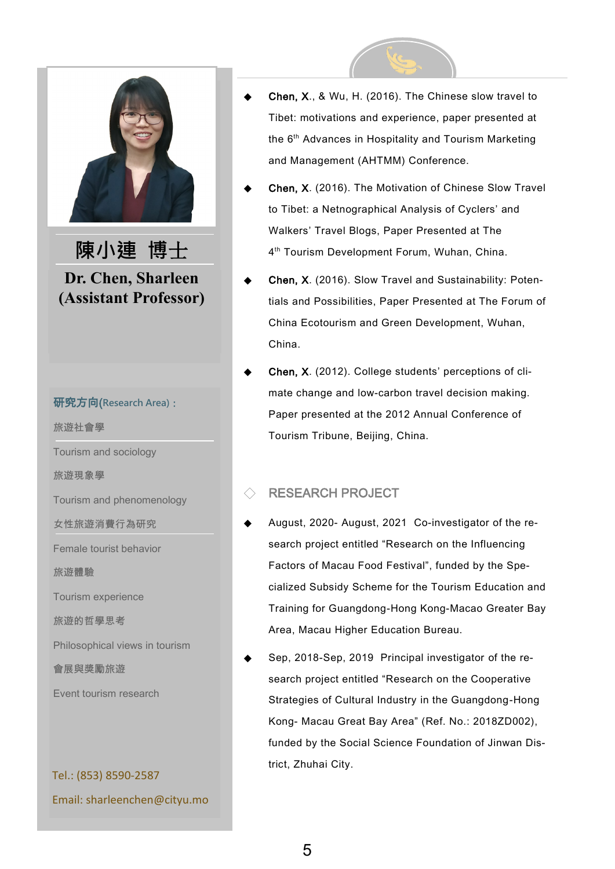

#### 研究方向(**Research Area)**:

旅遊社會學

Tourism and sociology

旅遊現象學

Tourism and phenomenology

女性旅遊消費行為研究

Female tourist behavior

旅遊體驗

Tourism experience

旅遊的哲學思考

Philosophical views in tourism

會展與獎勵旅遊

Event tourism research

Tel.: (853) 8590-2587 Email: sharleenchen@cityu.mo

- Chen, X., & Wu, H. (2016). The Chinese slow travel to Tibet: motivations and experience, paper presented at the 6<sup>th</sup> Advances in Hospitality and Tourism Marketing and Management (AHTMM) Conference.
- Chen, X. (2016). The Motivation of Chinese Slow Travel to Tibet: a Netnographical Analysis of Cyclers' and Walkers' Travel Blogs, Paper Presented at The 4<sup>th</sup> Tourism Development Forum, Wuhan, China.
- Chen, X. (2016). Slow Travel and Sustainability: Potentials and Possibilities, Paper Presented at The Forum of China Ecotourism and Green Development, Wuhan, China.
- Chen, X. (2012). College students' perceptions of climate change and low-carbon travel decision making. Paper presented at the 2012 Annual Conference of Tourism Tribune, Beijing, China.

## RESEARCH PROJECT

- August, 2020- August, 2021 Co-investigator of the research project entitled "Research on the Influencing Factors of Macau Food Festival", funded by the Specialized Subsidy Scheme for the Tourism Education and Training for Guangdong-Hong Kong-Macao Greater Bay Area, Macau Higher Education Bureau.
- Sep, 2018-Sep, 2019 Principal investigator of the research project entitled "Research on the Cooperative Strategies of Cultural Industry in the Guangdong-Hong Kong- Macau Great Bay Area" (Ref. No.: 2018ZD002), funded by the Social Science Foundation of Jinwan District, Zhuhai City.